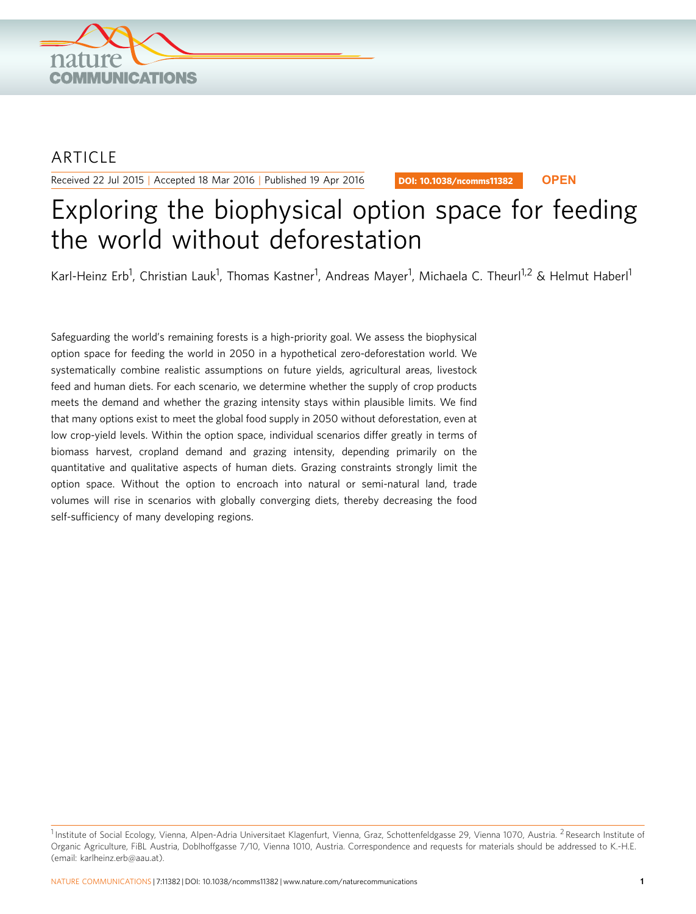

## ARTICLE

Received 22 Jul 2015 | Accepted 18 Mar 2016 | Published 19 Apr 2016

DOI: 10.1038/ncomms11382 **OPEN**

# Exploring the biophysical option space for feeding the world without deforestation

Karl-Heinz Erb<sup>1</sup>, Christian Lauk<sup>1</sup>, Thomas Kastner<sup>1</sup>, Andreas Mayer<sup>1</sup>, Michaela C. Theurl<sup>1,2</sup> & Helmut Haberl<sup>1</sup>

Safeguarding the world's remaining forests is a high-priority goal. We assess the biophysical option space for feeding the world in 2050 in a hypothetical zero-deforestation world. We systematically combine realistic assumptions on future yields, agricultural areas, livestock feed and human diets. For each scenario, we determine whether the supply of crop products meets the demand and whether the grazing intensity stays within plausible limits. We find that many options exist to meet the global food supply in 2050 without deforestation, even at low crop-yield levels. Within the option space, individual scenarios differ greatly in terms of biomass harvest, cropland demand and grazing intensity, depending primarily on the quantitative and qualitative aspects of human diets. Grazing constraints strongly limit the option space. Without the option to encroach into natural or semi-natural land, trade volumes will rise in scenarios with globally converging diets, thereby decreasing the food self-sufficiency of many developing regions.

<sup>&</sup>lt;sup>1</sup> Institute of Social Ecology, Vienna, Alpen-Adria Universitaet Klagenfurt, Vienna, Graz, Schottenfeldgasse 29, Vienna 1070, Austria. <sup>2</sup> Research Institute of Organic Agriculture, FiBL Austria, Doblhoffgasse 7/10, Vienna 1010, Austria. Correspondence and requests for materials should be addressed to K.-H.E. (email: [karlheinz.erb@aau.at](mailto:karlheinz.erb@aau.at)).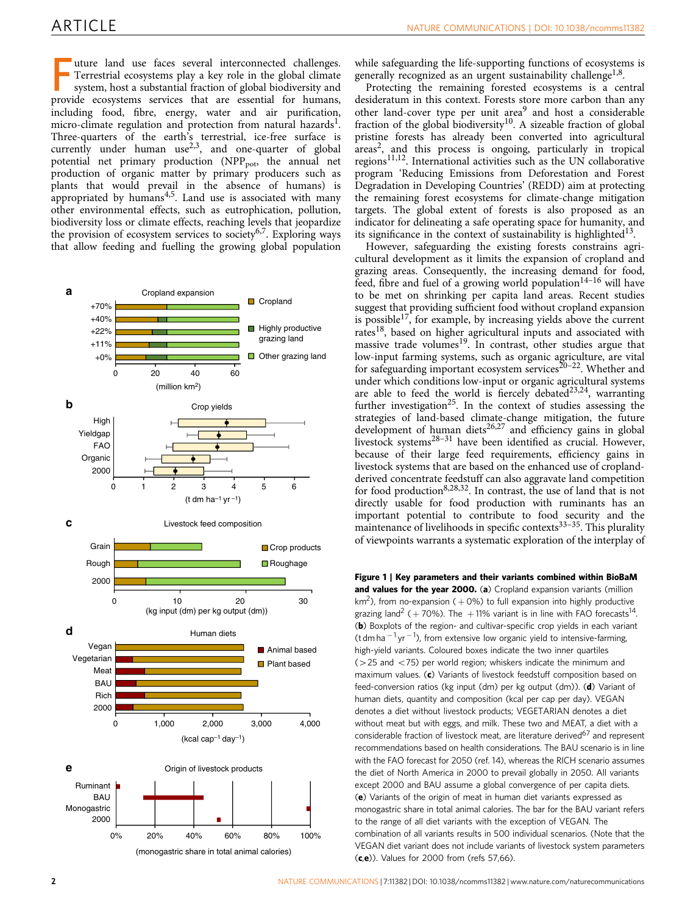<span id="page-1-0"></span>Tuture land use faces several interconnected challenges.<br>Terrestrial ecosystems play a key role in the global climate<br>system, host a substantial fraction of global biodiversity and<br>provide ecosystems services that are esse uture land use faces several interconnected challenges. Terrestrial ecosystems play a key role in the global climate system, host a substantial fraction of global biodiversity and including food, fibre, energy, water and air purification, micro-climate regulation and protection from natural hazards<sup>1</sup>. Three-quarters of the earth's terrestrial, ice-free surface is currently under human use<sup>2,3</sup>, and one-quarter of global potential net primary production  $(NPP_{\text{pot}})$  the annual net production of organic matter by primary producers such as plants that would prevail in the absence of humans) is appropriated by humans $4,5$ . Land use is associated with many other environmental effects, such as eutrophication, pollution, biodiversity loss or climate effects, reaching levels that jeopardize the provision of ecosystem services to society<sup>6,7</sup>. Exploring ways that allow feeding and fuelling the growing global population



while safeguarding the life-supporting functions of ecosystems is generally recognized as an urgent sustainability challenge<sup>1,8</sup>.

Protecting the remaining forested ecosystems is a central desideratum in this context. Forests store more carbon than any other land-cover type per unit area<sup>[9](#page-7-0)</sup> and host a considerable fraction of the global biodiversity<sup>10</sup>. A sizeable fraction of global pristine forests has already been converted into agricultural areas<sup>[2](#page-7-0)</sup>, and this process is ongoing, particularly in tropical regions<sup>[11,12](#page-7-0)</sup>. International activities such as the UN collaborative program 'Reducing Emissions from Deforestation and Forest Degradation in Developing Countries' (REDD) aim at protecting the remaining forest ecosystems for climate-change mitigation targets. The global extent of forests is also proposed as an indicator for delineating a safe operating space for humanity, and its significance in the context of sustainability is highlighted<sup>[13](#page-7-0)</sup>.

However, safeguarding the existing forests constrains agricultural development as it limits the expansion of cropland and grazing areas. Consequently, the increasing demand for food, feed, fibre and fuel of a growing world population<sup>14-16</sup> will have to be met on shrinking per capita land areas. Recent studies suggest that providing sufficient food without cropland expansion is possible<sup>17</sup>, for example, by increasing yields above the current rates<sup>18</sup>, based on higher agricultural inputs and associated with massive trade volumes<sup>[19](#page-7-0)</sup>. In contrast, other studies argue that low-input farming systems, such as organic agriculture, are vital for safeguarding important ecosystem services<sup>20-22</sup>. Whether and under which conditions low-input or organic agricultural systems are able to feed the world is fiercely debated $2^{3,24}$ , warranting further investigation<sup>[25](#page-7-0)</sup>. In the context of studies assessing the strategies of land-based climate-change mitigation, the future development of human diets<sup>[26,27](#page-7-0)</sup> and efficiency gains in global livestock systems<sup>28–31</sup> have been identified as crucial. However, because of their large feed requirements, efficiency gains in livestock systems that are based on the enhanced use of croplandderived concentrate feedstuff can also aggravate land competition for food production<sup>[8,28,32](#page-7-0)</sup>. In contrast, the use of land that is not directly usable for food production with ruminants has an important potential to contribute to food security and the maintenance of livelihoods in specific contexts<sup>33-35</sup>. This plurality of viewpoints warrants a systematic exploration of the interplay of

Figure 1 | Key parameters and their variants combined within BioBaM and values for the year 2000. (a) Cropland expansion variants (million km<sup>2</sup>), from no-expansion ( $+0\%$ ) to full expansion into highly productive grazing land<sup>2</sup> ( $+70%$ ). The  $+11%$  variant is in line with FAO forecasts<sup>14</sup>. (b) Boxplots of the region- and cultivar-specific crop yields in each variant  $(t$  dm ha<sup>-1</sup> yr<sup>-1</sup>), from extensive low organic yield to intensive-farming, high-yield variants. Coloured boxes indicate the two inner quartiles  $(>25$  and  $<$ 75) per world region; whiskers indicate the minimum and maximum values. (c) Variants of livestock feedstuff composition based on feed-conversion ratios (kg input (dm) per kg output (dm)). (d) Variant of human diets, quantity and composition (kcal per cap per day). VEGAN denotes a diet without livestock products; VEGETARIAN denotes a diet without meat but with eggs, and milk. These two and MEAT, a diet with a considerable fraction of livestock meat, are literature derived<sup>67</sup> and represent recommendations based on health considerations. The BAU scenario is in line with the FAO forecast for 2050 [\(ref. 14](#page-7-0)), whereas the RICH scenario assumes the diet of North America in 2000 to prevail globally in 2050. All variants except 2000 and BAU assume a global convergence of per capita diets. (e) Variants of the origin of meat in human diet variants expressed as monogastric share in total animal calories. The bar for the BAU variant refers to the range of all diet variants with the exception of VEGAN. The combination of all variants results in 500 individual scenarios. (Note that the VEGAN diet variant does not include variants of livestock system parameters (c,e)). Values for 2000 from [\(refs 57,66](#page-7-0)).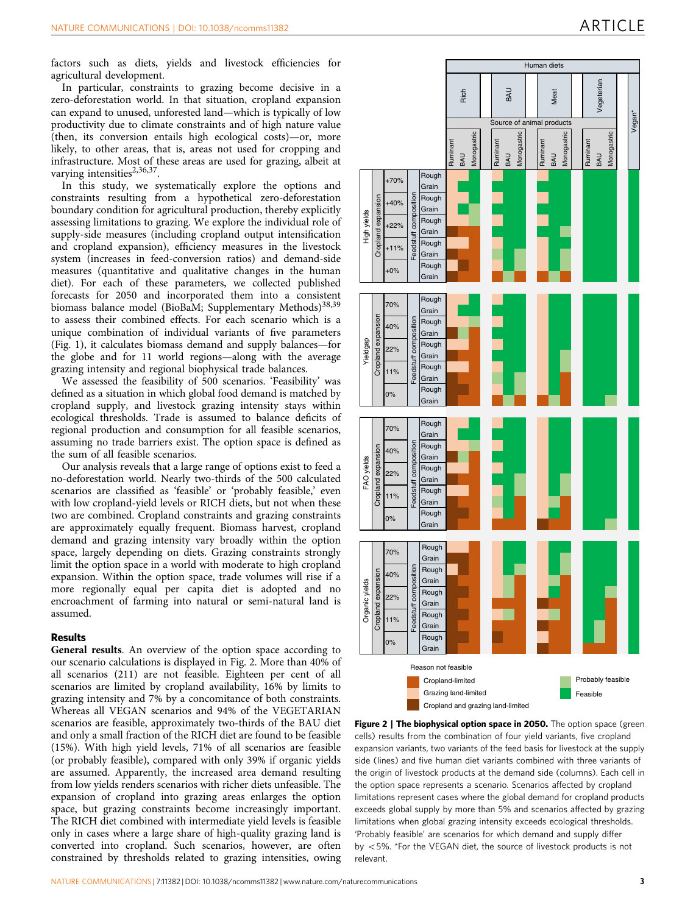<span id="page-2-0"></span>factors such as diets, yields and livestock efficiencies for agricultural development.

In particular, constraints to grazing become decisive in a zero-deforestation world. In that situation, cropland expansion can expand to unused, unforested land—which is typically of low productivity due to climate constraints and of high nature value (then, its conversion entails high ecological costs)—or, more likely, to other areas, that is, areas not used for cropping and infrastructure. Most of these areas are used for grazing, albeit at varying intensities<sup>2,36,37</sup>.

In this study, we systematically explore the options and constraints resulting from a hypothetical zero-deforestation boundary condition for agricultural production, thereby explicitly assessing limitations to grazing. We explore the individual role of supply-side measures (including cropland output intensification and cropland expansion), efficiency measures in the livestock system (increases in feed-conversion ratios) and demand-side measures (quantitative and qualitative changes in the human diet). For each of these parameters, we collected published forecasts for 2050 and incorporated them into a consistent biomass balance model (BioBaM; Supplementary Methods)<sup>[38,39](#page-7-0)</sup> to assess their combined effects. For each scenario which is a unique combination of individual variants of five parameters ([Fig. 1\)](#page-1-0), it calculates biomass demand and supply balances—for the globe and for 11 world regions—along with the average grazing intensity and regional biophysical trade balances.

We assessed the feasibility of 500 scenarios. 'Feasibility' was defined as a situation in which global food demand is matched by cropland supply, and livestock grazing intensity stays within ecological thresholds. Trade is assumed to balance deficits of regional production and consumption for all feasible scenarios, assuming no trade barriers exist. The option space is defined as the sum of all feasible scenarios.

Our analysis reveals that a large range of options exist to feed a no-deforestation world. Nearly two-thirds of the 500 calculated scenarios are classified as 'feasible' or 'probably feasible,' even with low cropland-yield levels or RICH diets, but not when these two are combined. Cropland constraints and grazing constraints are approximately equally frequent. Biomass harvest, cropland demand and grazing intensity vary broadly within the option space, largely depending on diets. Grazing constraints strongly limit the option space in a world with moderate to high cropland expansion. Within the option space, trade volumes will rise if a more regionally equal per capita diet is adopted and no encroachment of farming into natural or semi-natural land is assumed.

### Results

General results. An overview of the option space according to our scenario calculations is displayed in Fig. 2. More than 40% of all scenarios (211) are not feasible. Eighteen per cent of all scenarios are limited by cropland availability, 16% by limits to grazing intensity and 7% by a concomitance of both constraints. Whereas all VEGAN scenarios and 94% of the VEGETARIAN scenarios are feasible, approximately two-thirds of the BAU diet and only a small fraction of the RICH diet are found to be feasible (15%). With high yield levels, 71% of all scenarios are feasible (or probably feasible), compared with only 39% if organic yields are assumed. Apparently, the increased area demand resulting from low yields renders scenarios with richer diets unfeasible. The expansion of cropland into grazing areas enlarges the option space, but grazing constraints become increasingly important. The RICH diet combined with intermediate yield levels is feasible only in cases where a large share of high-quality grazing land is converted into cropland. Such scenarios, however, are often constrained by thresholds related to grazing intensities, owing



Cropland and grazing land-limited

Figure 2 | The biophysical option space in 2050. The option space (green cells) results from the combination of four yield variants, five cropland expansion variants, two variants of the feed basis for livestock at the supply side (lines) and five human diet variants combined with three variants of the origin of livestock products at the demand side (columns). Each cell in the option space represents a scenario. Scenarios affected by cropland limitations represent cases where the global demand for cropland products exceeds global supply by more than 5% and scenarios affected by grazing limitations when global grazing intensity exceeds ecological thresholds. 'Probably feasible' are scenarios for which demand and supply differ by  $<$  5%. \*For the VEGAN diet, the source of livestock products is not relevant.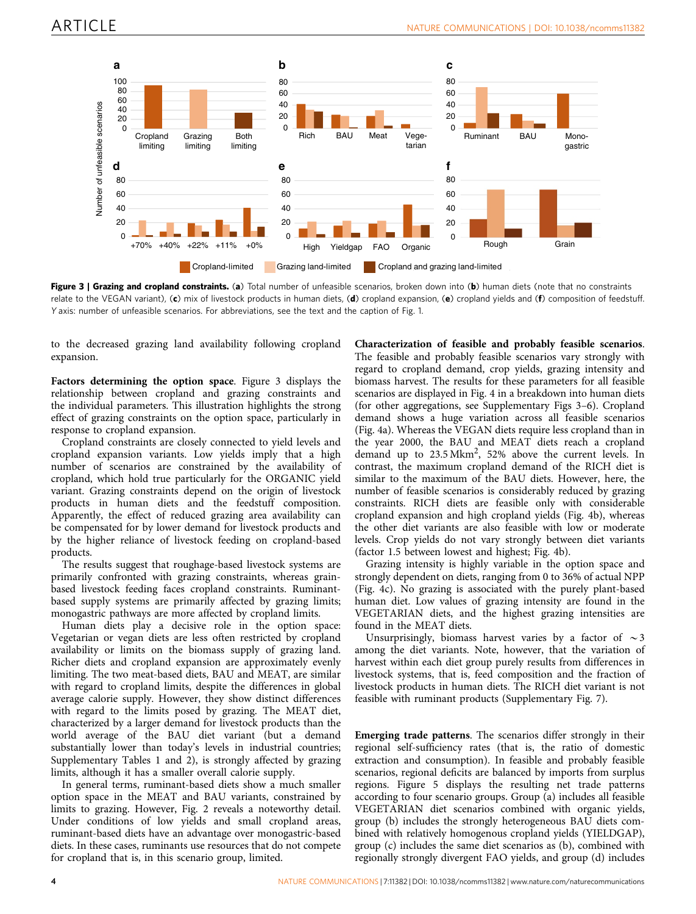<span id="page-3-0"></span>

Figure 3 | Grazing and cropland constraints. (a) Total number of unfeasible scenarios, broken down into (b) human diets (note that no constraints relate to the VEGAN variant), (c) mix of livestock products in human diets, (d) cropland expansion, (e) cropland yields and (f) composition of feedstuff. Y axis: number of unfeasible scenarios. For abbreviations, see the text and the caption of [Fig. 1.](#page-1-0)

to the decreased grazing land availability following cropland expansion.

Factors determining the option space. Figure 3 displays the relationship between cropland and grazing constraints and the individual parameters. This illustration highlights the strong effect of grazing constraints on the option space, particularly in response to cropland expansion.

Cropland constraints are closely connected to yield levels and cropland expansion variants. Low yields imply that a high number of scenarios are constrained by the availability of cropland, which hold true particularly for the ORGANIC yield variant. Grazing constraints depend on the origin of livestock products in human diets and the feedstuff composition. Apparently, the effect of reduced grazing area availability can be compensated for by lower demand for livestock products and by the higher reliance of livestock feeding on cropland-based products.

The results suggest that roughage-based livestock systems are primarily confronted with grazing constraints, whereas grainbased livestock feeding faces cropland constraints. Ruminantbased supply systems are primarily affected by grazing limits; monogastric pathways are more affected by cropland limits.

Human diets play a decisive role in the option space: Vegetarian or vegan diets are less often restricted by cropland availability or limits on the biomass supply of grazing land. Richer diets and cropland expansion are approximately evenly limiting. The two meat-based diets, BAU and MEAT, are similar with regard to cropland limits, despite the differences in global average calorie supply. However, they show distinct differences with regard to the limits posed by grazing. The MEAT diet, characterized by a larger demand for livestock products than the world average of the BAU diet variant (but a demand substantially lower than today's levels in industrial countries; Supplementary Tables 1 and 2), is strongly affected by grazing limits, although it has a smaller overall calorie supply.

In general terms, ruminant-based diets show a much smaller option space in the MEAT and BAU variants, constrained by limits to grazing. However, [Fig. 2](#page-2-0) reveals a noteworthy detail. Under conditions of low yields and small cropland areas, ruminant-based diets have an advantage over monogastric-based diets. In these cases, ruminants use resources that do not compete for cropland that is, in this scenario group, limited.

Characterization of feasible and probably feasible scenarios. The feasible and probably feasible scenarios vary strongly with regard to cropland demand, crop yields, grazing intensity and biomass harvest. The results for these parameters for all feasible scenarios are displayed in [Fig. 4](#page-4-0) in a breakdown into human diets (for other aggregations, see Supplementary Figs 3–6). Cropland demand shows a huge variation across all feasible scenarios ([Fig. 4a\)](#page-4-0). Whereas the VEGAN diets require less cropland than in the year 2000, the BAU and MEAT diets reach a cropland demand up to  $23.5 \text{ Mkm}^2$ ,  $52\%$  above the current levels. In contrast, the maximum cropland demand of the RICH diet is similar to the maximum of the BAU diets. However, here, the number of feasible scenarios is considerably reduced by grazing constraints. RICH diets are feasible only with considerable cropland expansion and high cropland yields ([Fig. 4b\)](#page-4-0), whereas the other diet variants are also feasible with low or moderate levels. Crop yields do not vary strongly between diet variants (factor 1.5 between lowest and highest; [Fig. 4b](#page-4-0)).

Grazing intensity is highly variable in the option space and strongly dependent on diets, ranging from 0 to 36% of actual NPP ([Fig. 4c](#page-4-0)). No grazing is associated with the purely plant-based human diet. Low values of grazing intensity are found in the VEGETARIAN diets, and the highest grazing intensities are found in the MEAT diets.

Unsurprisingly, biomass harvest varies by a factor of  $\sim$ 3 among the diet variants. Note, however, that the variation of harvest within each diet group purely results from differences in livestock systems, that is, feed composition and the fraction of livestock products in human diets. The RICH diet variant is not feasible with ruminant products (Supplementary Fig. 7).

Emerging trade patterns. The scenarios differ strongly in their regional self-sufficiency rates (that is, the ratio of domestic extraction and consumption). In feasible and probably feasible scenarios, regional deficits are balanced by imports from surplus regions. [Figure 5](#page-5-0) displays the resulting net trade patterns according to four scenario groups. Group (a) includes all feasible VEGETARIAN diet scenarios combined with organic yields, group (b) includes the strongly heterogeneous BAU diets combined with relatively homogenous cropland yields (YIELDGAP), group (c) includes the same diet scenarios as (b), combined with regionally strongly divergent FAO yields, and group (d) includes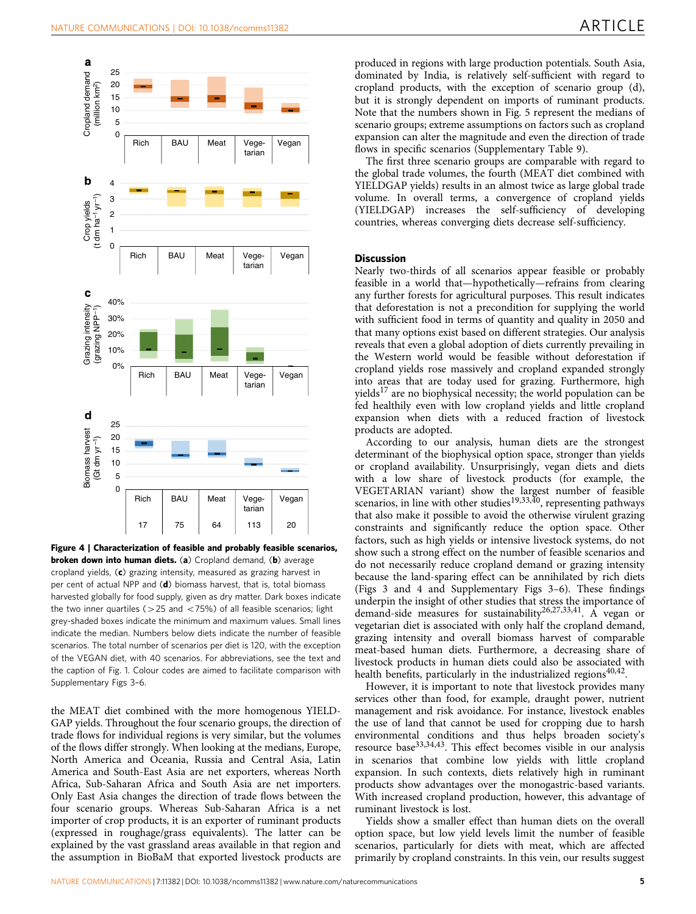<span id="page-4-0"></span>

Figure 4 | Characterization of feasible and probably feasible scenarios, broken down into human diets. (a) Cropland demand, (b) average cropland yields, (c) grazing intensity, measured as grazing harvest in per cent of actual NPP and  $(d)$  biomass harvest, that is, total biomass harvested globally for food supply, given as dry matter. Dark boxes indicate the two inner quartiles ( $>$ 25 and  $<$ 75%) of all feasible scenarios; light grey-shaded boxes indicate the minimum and maximum values. Small lines indicate the median. Numbers below diets indicate the number of feasible scenarios. The total number of scenarios per diet is 120, with the exception of the VEGAN diet, with 40 scenarios. For abbreviations, see the text and the caption of [Fig. 1.](#page-1-0) Colour codes are aimed to facilitate comparison with Supplementary Figs 3–6.

the MEAT diet combined with the more homogenous YIELD-GAP yields. Throughout the four scenario groups, the direction of trade flows for individual regions is very similar, but the volumes of the flows differ strongly. When looking at the medians, Europe, North America and Oceania, Russia and Central Asia, Latin America and South-East Asia are net exporters, whereas North Africa, Sub-Saharan Africa and South Asia are net importers. Only East Asia changes the direction of trade flows between the four scenario groups. Whereas Sub-Saharan Africa is a net importer of crop products, it is an exporter of ruminant products (expressed in roughage/grass equivalents). The latter can be explained by the vast grassland areas available in that region and the assumption in BioBaM that exported livestock products are

produced in regions with large production potentials. South Asia, dominated by India, is relatively self-sufficient with regard to cropland products, with the exception of scenario group (d), but it is strongly dependent on imports of ruminant products. Note that the numbers shown in [Fig. 5](#page-5-0) represent the medians of scenario groups; extreme assumptions on factors such as cropland expansion can alter the magnitude and even the direction of trade flows in specific scenarios (Supplementary Table 9).

The first three scenario groups are comparable with regard to the global trade volumes, the fourth (MEAT diet combined with YIELDGAP yields) results in an almost twice as large global trade volume. In overall terms, a convergence of cropland yields (YIELDGAP) increases the self-sufficiency of developing countries, whereas converging diets decrease self-sufficiency.

#### **Discussion**

Nearly two-thirds of all scenarios appear feasible or probably feasible in a world that—hypothetically—refrains from clearing any further forests for agricultural purposes. This result indicates that deforestation is not a precondition for supplying the world with sufficient food in terms of quantity and quality in 2050 and that many options exist based on different strategies. Our analysis reveals that even a global adoption of diets currently prevailing in the Western world would be feasible without deforestation if cropland yields rose massively and cropland expanded strongly into areas that are today used for grazing. Furthermore, high yields<sup>[17](#page-7-0)</sup> are no biophysical necessity; the world population can be fed healthily even with low cropland yields and little cropland expansion when diets with a reduced fraction of livestock products are adopted.

According to our analysis, human diets are the strongest determinant of the biophysical option space, stronger than yields or cropland availability. Unsurprisingly, vegan diets and diets with a low share of livestock products (for example, the VEGETARIAN variant) show the largest number of feasible scenarios, in line with other studies<sup>[19,33,40](#page-7-0)</sup>, representing pathways that also make it possible to avoid the otherwise virulent grazing constraints and significantly reduce the option space. Other factors, such as high yields or intensive livestock systems, do not show such a strong effect on the number of feasible scenarios and do not necessarily reduce cropland demand or grazing intensity because the land-sparing effect can be annihilated by rich diets ([Figs 3 and 4](#page-3-0) and Supplementary Figs 3–6). These findings underpin the insight of other studies that stress the importance of demand-side measures for sustainability<sup>26,27,33,41</sup>. A vegan or vegetarian diet is associated with only half the cropland demand, grazing intensity and overall biomass harvest of comparable meat-based human diets. Furthermore, a decreasing share of livestock products in human diets could also be associated with health benefits, particularly in the industrialized regions $40,42$ .

However, it is important to note that livestock provides many services other than food, for example, draught power, nutrient management and risk avoidance. For instance, livestock enables the use of land that cannot be used for cropping due to harsh environmental conditions and thus helps broaden society's resource base<sup>33,34,43</sup>. This effect becomes visible in our analysis in scenarios that combine low yields with little cropland expansion. In such contexts, diets relatively high in ruminant products show advantages over the monogastric-based variants. With increased cropland production, however, this advantage of ruminant livestock is lost.

Yields show a smaller effect than human diets on the overall option space, but low yield levels limit the number of feasible scenarios, particularly for diets with meat, which are affected primarily by cropland constraints. In this vein, our results suggest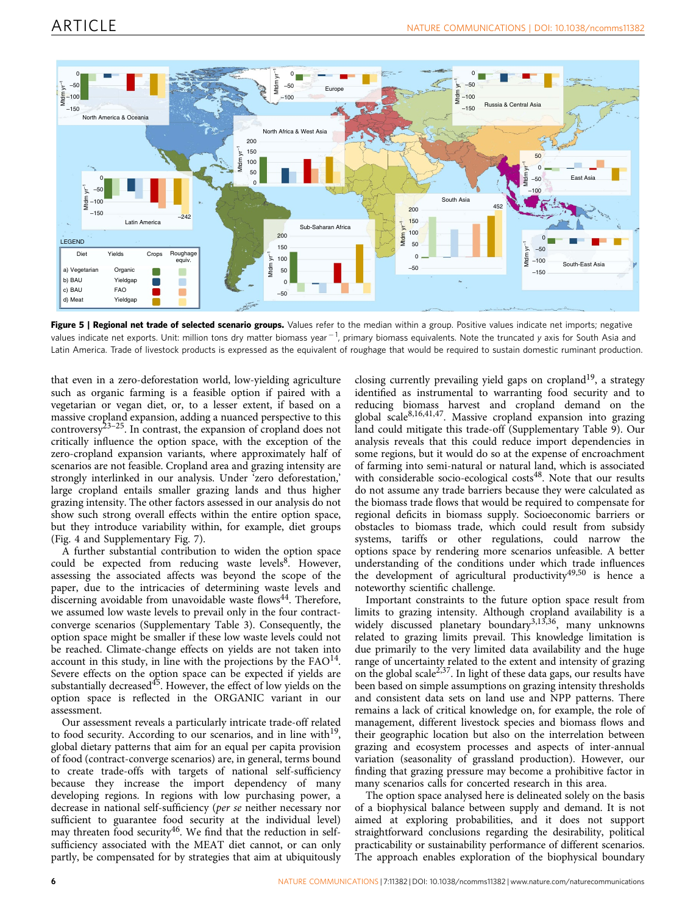<span id="page-5-0"></span>

Figure 5 | Regional net trade of selected scenario groups. Values refer to the median within a group. Positive values indicate net imports; negative values indicate net exports. Unit: million tons dry matter biomass year $^{-1}$ , primary biomass equivalents. Note the truncated y axis for South Asia and Latin America. Trade of livestock products is expressed as the equivalent of roughage that would be required to sustain domestic ruminant production.

that even in a zero-deforestation world, low-yielding agriculture such as organic farming is a feasible option if paired with a vegetarian or vegan diet, or, to a lesser extent, if based on a massive cropland expansion, adding a nuanced perspective to this controversy<sup>[23–25](#page-7-0)</sup>. In contrast, the expansion of cropland does not critically influence the option space, with the exception of the zero-cropland expansion variants, where approximately half of scenarios are not feasible. Cropland area and grazing intensity are strongly interlinked in our analysis. Under 'zero deforestation,' large cropland entails smaller grazing lands and thus higher grazing intensity. The other factors assessed in our analysis do not show such strong overall effects within the entire option space, but they introduce variability within, for example, diet groups ([Fig. 4](#page-4-0) and Supplementary Fig. 7).

A further substantial contribution to widen the option space could be expected from reducing waste levels<sup>[8](#page-7-0)</sup>. However, assessing the associated affects was beyond the scope of the paper, due to the intricacies of determining waste levels and discerning avoidable from unavoidable waste flows<sup>[44](#page-7-0)</sup>. Therefore, we assumed low waste levels to prevail only in the four contractconverge scenarios (Supplementary Table 3). Consequently, the option space might be smaller if these low waste levels could not be reached. Climate-change effects on yields are not taken into account in this study, in line with the projections by the  $FAO<sup>14</sup>$ . Severe effects on the option space can be expected if yields are substantially decreased $45$ . However, the effect of low yields on the option space is reflected in the ORGANIC variant in our assessment.

Our assessment reveals a particularly intricate trade-off related to food security. According to our scenarios, and in line with $^{19}$ , global dietary patterns that aim for an equal per capita provision of food (contract-converge scenarios) are, in general, terms bound to create trade-offs with targets of national self-sufficiency because they increase the import dependency of many developing regions. In regions with low purchasing power, a decrease in national self-sufficiency (per se neither necessary nor sufficient to guarantee food security at the individual level) may threaten food security<sup>46</sup>. We find that the reduction in selfsufficiency associated with the MEAT diet cannot, or can only partly, be compensated for by strategies that aim at ubiquitously closing currently prevailing yield gaps on cropland<sup>19</sup>, a strategy identified as instrumental to warranting food security and to reducing biomass harvest and cropland demand on the global scale<sup>8,16,41,47</sup>. Massive cropland expansion into grazing land could mitigate this trade-off (Supplementary Table 9). Our analysis reveals that this could reduce import dependencies in some regions, but it would do so at the expense of encroachment of farming into semi-natural or natural land, which is associated with considerable socio-ecological costs<sup>48</sup>. Note that our results do not assume any trade barriers because they were calculated as the biomass trade flows that would be required to compensate for regional deficits in biomass supply. Socioeconomic barriers or obstacles to biomass trade, which could result from subsidy systems, tariffs or other regulations, could narrow the options space by rendering more scenarios unfeasible. A better understanding of the conditions under which trade influences the development of agricultural productivity $49,50$  is hence a noteworthy scientific challenge.

Important constraints to the future option space result from limits to grazing intensity. Although cropland availability is a widely discussed planetary boundary<sup>3,13,36</sup>, many unknowns related to grazing limits prevail. This knowledge limitation is due primarily to the very limited data availability and the huge range of uncertainty related to the extent and intensity of grazing on the global scale<sup>2,37</sup>. In light of these data gaps, our results have been based on simple assumptions on grazing intensity thresholds and consistent data sets on land use and NPP patterns. There remains a lack of critical knowledge on, for example, the role of management, different livestock species and biomass flows and their geographic location but also on the interrelation between grazing and ecosystem processes and aspects of inter-annual variation (seasonality of grassland production). However, our finding that grazing pressure may become a prohibitive factor in many scenarios calls for concerted research in this area.

The option space analysed here is delineated solely on the basis of a biophysical balance between supply and demand. It is not aimed at exploring probabilities, and it does not support straightforward conclusions regarding the desirability, political practicability or sustainability performance of different scenarios. The approach enables exploration of the biophysical boundary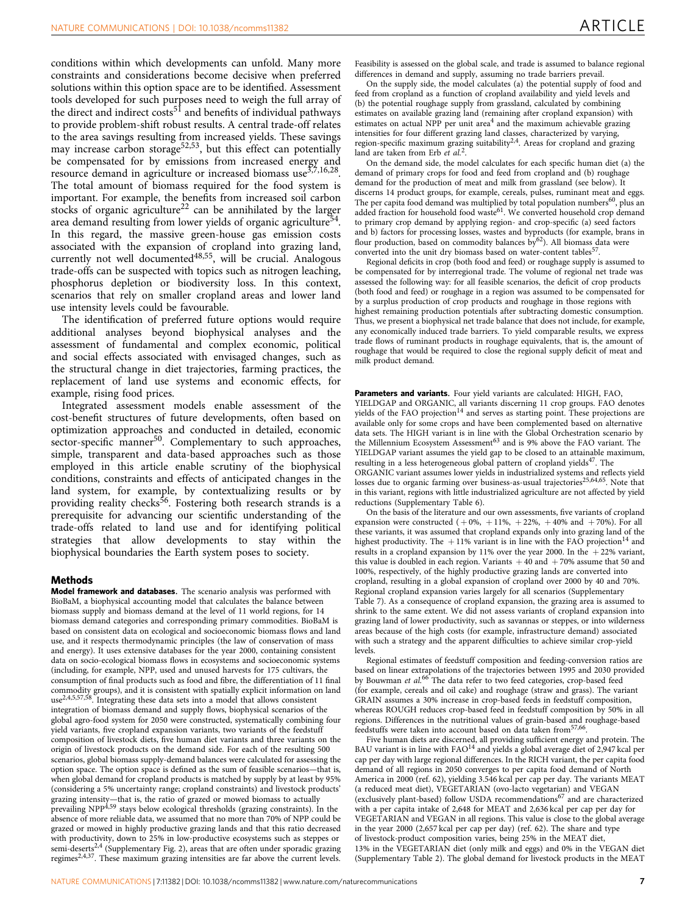conditions within which developments can unfold. Many more constraints and considerations become decisive when preferred solutions within this option space are to be identified. Assessment tools developed for such purposes need to weigh the full array of the direct and indirect costs<sup>[51](#page-7-0)</sup> and benefits of individual pathways to provide problem-shift robust results. A central trade-off relates to the area savings resulting from increased yields. These savings may increase carbon storage<sup>52,53</sup>, but this effect can potentially be compensated for by emissions from increased energy and resource demand in agriculture or increased biomass use<sup>3,7,16,28</sup>. The total amount of biomass required for the food system is important. For example, the benefits from increased soil carbon stocks of organic agriculture<sup>[22](#page-7-0)</sup> can be annihilated by the larger area demand resulting from lower yields of organic agriculture<sup>54</sup>. In this regard, the massive green-house gas emission costs associated with the expansion of cropland into grazing land, currently not well documented<sup>[48,55](#page-7-0)</sup>, will be crucial. Analogous trade-offs can be suspected with topics such as nitrogen leaching, phosphorus depletion or biodiversity loss. In this context, scenarios that rely on smaller cropland areas and lower land use intensity levels could be favourable.

The identification of preferred future options would require additional analyses beyond biophysical analyses and the assessment of fundamental and complex economic, political and social effects associated with envisaged changes, such as the structural change in diet trajectories, farming practices, the replacement of land use systems and economic effects, for example, rising food prices.

Integrated assessment models enable assessment of the cost-benefit structures of future developments, often based on optimization approaches and conducted in detailed, economic sector-specific manner<sup>50</sup>. Complementary to such approaches, simple, transparent and data-based approaches such as those employed in this article enable scrutiny of the biophysical conditions, constraints and effects of anticipated changes in the land system, for example, by contextualizing results or by providing reality checks<sup>[56](#page-7-0)</sup>. Fostering both research strands is a prerequisite for advancing our scientific understanding of the trade-offs related to land use and for identifying political strategies that allow developments to stay within the biophysical boundaries the Earth system poses to society.

#### Methods

Model framework and databases. The scenario analysis was performed with BioBaM, a biophysical accounting model that calculates the balance between biomass supply and biomass demand at the level of 11 world regions, for 14 biomass demand categories and corresponding primary commodities. BioBaM is based on consistent data on ecological and socioeconomic biomass flows and land use, and it respects thermodynamic principles (the law of conservation of mass and energy). It uses extensive databases for the year 2000, containing consistent data on socio-ecological biomass flows in ecosystems and socioeconomic systems (including, for example, NPP, used and unused harvests for 175 cultivars, the consumption of final products such as food and fibre, the differentiation of 11 final commodity groups), and it is consistent with spatially explicit information on land use[2,4,5,57,58.](#page-7-0) Integrating these data sets into a model that allows consistent integration of biomass demand and supply flows, biophysical scenarios of the global agro-food system for 2050 were constructed, systematically combining four yield variants, five cropland expansion variants, two variants of the feedstuff composition of livestock diets, five human diet variants and three variants on the origin of livestock products on the demand side. For each of the resulting 500 scenarios, global biomass supply-demand balances were calculated for assessing the option space. The option space is defined as the sum of feasible scenarios—that is, when global demand for cropland products is matched by supply by at least by 95% (considering a 5% uncertainty range; cropland constraints) and livestock products' grazing intensity—that is, the ratio of grazed or mowed biomass to actually<br>prevailing NPP<sup>[4,59](#page-7-0)</sup> stays below ecological thresholds (grazing constraints). In the absence of more reliable data, we assumed that no more than 70% of NPP could be grazed or mowed in highly productive grazing lands and that this ratio decreased with productivity, down to 25% in low-productive ecosystems such as steppes or semi-deserts<sup>[2,4](#page-7-0)</sup> (Supplementary Fig. 2), areas that are often under sporadic grazing regimes<sup>2,4,37</sup>. These maximum grazing intensities are far above the current levels.

Feasibility is assessed on the global scale, and trade is assumed to balance regional differences in demand and supply, assuming no trade barriers prevail.

On the supply side, the model calculates (a) the potential supply of food and feed from cropland as a function of cropland availability and yield levels and (b) the potential roughage supply from grassland, calculated by combining estimates on available grazing land (remaining after cropland expansion) with estimates on actual NPP per unit area<sup>[4](#page-7-0)</sup> and the maximum achievable grazing intensities for four different grazing land classes, characterized by varying, region-specific maximum grazing suitability<sup>2,4</sup>. Areas for cropland and grazing land are taken from Erb et al.<sup>2</sup>

On the demand side, the model calculates for each specific human diet (a) the demand of primary crops for food and feed from cropland and (b) roughage demand for the production of meat and milk from grassland (see below). It discerns 14 product groups, for example, cereals, pulses, ruminant meat and eggs. The per capita food demand was multiplied by total population numbers<sup>60</sup>, plus an added fraction for household food waste<sup>61</sup>. We converted household crop demand to primary crop demand by applying region- and crop-specific (a) seed factors and b) factors for processing losses, wastes and byproducts (for example, brans in flour production, based on commodity balances by<sup>62</sup>). All biomass data were converted into the unit dry biomass based on water-content tables<sup>[57](#page-7-0)</sup>

Regional deficits in crop (both food and feed) or roughage supply is assumed to be compensated for by interregional trade. The volume of regional net trade was assessed the following way: for all feasible scenarios, the deficit of crop products (both food and feed) or roughage in a region was assumed to be compensated for by a surplus production of crop products and roughage in those regions with highest remaining production potentials after subtracting domestic consumption. Thus, we present a biophysical net trade balance that does not include, for example, any economically induced trade barriers. To yield comparable results, we express trade flows of ruminant products in roughage equivalents, that is, the amount of roughage that would be required to close the regional supply deficit of meat and milk product demand.

Parameters and variants. Four yield variants are calculated: HIGH, FAO, YIELDGAP and ORGANIC, all variants discerning 11 crop groups. FAO denotes yields of the FAO projection<sup>[14](#page-7-0)</sup> and serves as starting point. These projections are available only for some crops and have been complemented based on alternative data sets. The HIGH variant is in line with the Global Orchestration scenario by the Millennium Ecosystem Assessment<sup>[63](#page-8-0)</sup> and is 9% above the FAO variant. The YIELDGAP variant assumes the yield gap to be closed to an attainable maximum, resulting in a less heterogeneous global pattern of cropland yields<sup>[47](#page-7-0)</sup>. The ORGANIC variant assumes lower yields in industrialized systems and reflects yield losses due to organic farming over business-as-usual trajectories<sup>[25,64,65](#page-7-0)</sup>. Note that in this variant, regions with little industrialized agriculture are not affected by yield reductions (Supplementary Table 6).

On the basis of the literature and our own assessments, five variants of cropland expansion were constructed  $(+0\%, +11\%, +22\%, +40\% \text{ and } +70\%).$  For all these variants, it was assumed that cropland expands only into grazing land of the highest productivity. The  $+11%$  variant is in line with the FAO projection<sup>[14](#page-7-0)</sup> and results in a cropland expansion by 11% over the year 2000. In the  $+22$ % variant, this value is doubled in each region. Variants  $+40$  and  $+70%$  assume that 50 and 100%, respectively, of the highly productive grazing lands are converted into cropland, resulting in a global expansion of cropland over 2000 by 40 and 70%. Regional cropland expansion varies largely for all scenarios (Supplementary Table 7). As a consequence of cropland expansion, the grazing area is assumed to shrink to the same extent. We did not assess variants of cropland expansion into grazing land of lower productivity, such as savannas or steppes, or into wilderness areas because of the high costs (for example, infrastructure demand) associated with such a strategy and the apparent difficulties to achieve similar crop-yield levels.

Regional estimates of feedstuff composition and feeding-conversion ratios are based on linear extrapolations of the trajectories between 1995 and 2030 provided by Bouwman et al.<sup>[66](#page-8-0)</sup> The data refer to two feed categories, crop-based feed (for example, cereals and oil cake) and roughage (straw and grass). The variant GRAIN assumes a 30% increase in crop-based feeds in feedstuff composition, whereas ROUGH reduces crop-based feed in feedstuff composition by 50% in all regions. Differences in the nutritional values of grain-based and roughage-based feedstuffs were taken into account based on data taken from[57,66](#page-7-0).

Five human diets are discerned, all providing sufficient energy and protein. The BAU variant is in line with  $FAO<sup>14</sup>$  $FAO<sup>14</sup>$  $FAO<sup>14</sup>$  and yields a global average diet of 2,947 kcal per cap per day with large regional differences. In the RICH variant, the per capita food demand of all regions in 2050 converges to per capita food demand of North America in 2000 [\(ref. 62](#page-8-0)), yielding 3.546 kcal per cap per day. The variants MEAT (a reduced meat diet), VEGETARIAN (ovo-lacto vegetarian) and VEGAN (exclusively plant-based) follow USDA recommendations<sup>[67](#page-8-0)</sup> and are characterized with a per capita intake of 2,648 for MEAT and 2,636 kcal per cap per day for VEGETARIAN and VEGAN in all regions. This value is close to the global average in the year 2000 (2,657 kcal per cap per day) [\(ref. 62\)](#page-8-0). The share and type of livestock-product composition varies, being 25% in the MEAT diet, 13% in the VEGETARIAN diet (only milk and eggs) and 0% in the VEGAN diet (Supplementary Table 2). The global demand for livestock products in the MEAT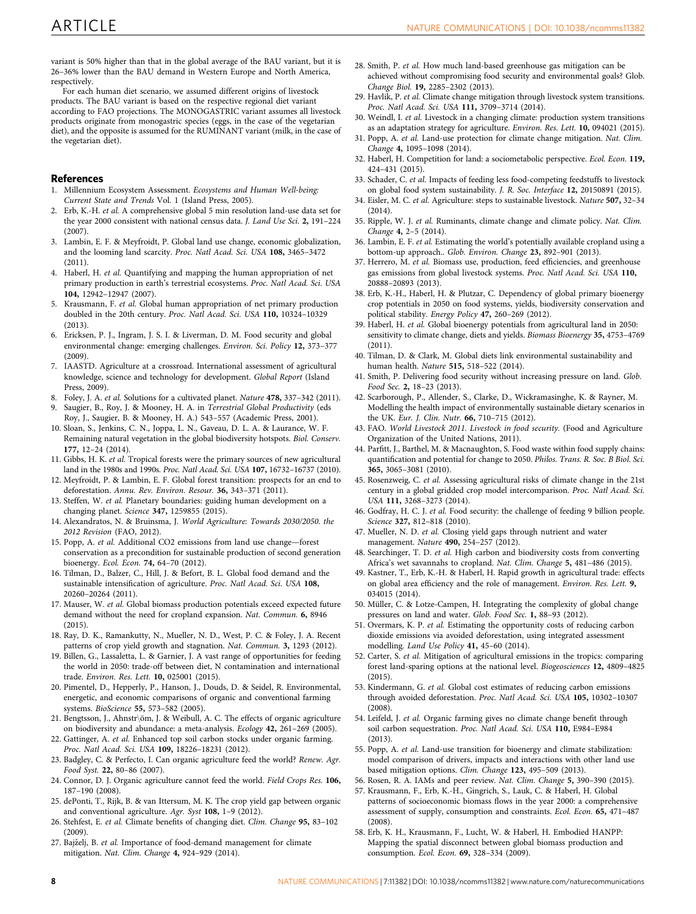<span id="page-7-0"></span>variant is 50% higher than that in the global average of the BAU variant, but it is 26–36% lower than the BAU demand in Western Europe and North America, respectively.

For each human diet scenario, we assumed different origins of livestock products. The BAU variant is based on the respective regional diet variant according to FAO projections. The MONOGASTRIC variant assumes all livestock products originate from monogastric species (eggs, in the case of the vegetarian diet), and the opposite is assumed for the RUMINANT variant (milk, in the case of the vegetarian diet).

#### References

- 1. Millennium Ecosystem Assessment. Ecosystems and Human Well-being: Current State and Trends Vol. 1 (Island Press, 2005).
- Erb, K.-H. et al. A comprehensive global 5 min resolution land-use data set for the year 2000 consistent with national census data. J. Land Use Sci. 2, 191-224 (2007).
- 3. Lambin, E. F. & Meyfroidt, P. Global land use change, economic globalization, and the looming land scarcity. Proc. Natl Acad. Sci. USA 108, 3465–3472  $(2011)$
- 4. Haberl, H. et al. Quantifying and mapping the human appropriation of net primary production in earth's terrestrial ecosystems. Proc. Natl Acad. Sci. USA 104, 12942–12947 (2007).
- 5. Krausmann, F. et al. Global human appropriation of net primary production doubled in the 20th century. Proc. Natl Acad. Sci. USA 110, 10324–10329 (2013).
- 6. Ericksen, P. J., Ingram, J. S. I. & Liverman, D. M. Food security and global environmental change: emerging challenges. Environ. Sci. Policy 12, 373–377 (2009).
- 7. IAASTD. Agriculture at a crossroad. International assessment of agricultural knowledge, science and technology for development. Global Report (Island Press, 2009).
- 8. Foley, J. A. et al. Solutions for a cultivated planet. Nature 478, 337–342 (2011). Saugier, B., Roy, J. & Mooney, H. A. in Terrestrial Global Productivity (eds
- Roy, J., Saugier, B. & Mooney, H. A.) 543–557 (Academic Press, 2001).
- 10. Sloan, S., Jenkins, C. N., Joppa, L. N., Gaveau, D. L. A. & Laurance, W. F. Remaining natural vegetation in the global biodiversity hotspots. Biol. Conserv. 177, 12–24 (2014).
- 11. Gibbs, H. K. et al. Tropical forests were the primary sources of new agricultural land in the 1980s and 1990s. Proc. Natl Acad. Sci. USA 107, 16732–16737 (2010).
- 12. Meyfroidt, P. & Lambin, E. F. Global forest transition: prospects for an end to deforestation. Annu. Rev. Environ. Resour. 36, 343–371 (2011).
- 13. Steffen, W. et al. Planetary boundaries: guiding human development on a changing planet. Science 347, 1259855 (2015).
- 14. Alexandratos, N. & Bruinsma, J. World Agriculture: Towards 2030/2050. the 2012 Revision (FAO, 2012).
- 15. Popp, A. et al. Additional CO2 emissions from land use change—forest conservation as a precondition for sustainable production of second generation bioenergy. Ecol. Econ. 74, 64–70 (2012).
- 16. Tilman, D., Balzer, C., Hill, J. & Befort, B. L. Global food demand and the sustainable intensification of agriculture. Proc. Natl Acad. Sci. USA 108, 20260–20264 (2011).
- 17. Mauser, W. et al. Global biomass production potentials exceed expected future demand without the need for cropland expansion. Nat. Commun. 6, 8946 (2015).
- 18. Ray, D. K., Ramankutty, N., Mueller, N. D., West, P. C. & Foley, J. A. Recent patterns of crop yield growth and stagnation. Nat. Commun. 3, 1293 (2012).
- 19. Billen, G., Lassaletta, L. & Garnier, J. A vast range of opportunities for feeding the world in 2050: trade-off between diet, N contamination and international trade. Environ. Res. Lett. 10, 025001 (2015).
- 20. Pimentel, D., Hepperly, P., Hanson, J., Douds, D. & Seidel, R. Environmental, energetic, and economic comparisons of organic and conventional farming systems. BioScience 55, 573–582 (2005).
- 21. Bengtsson, J., Ahnstr\öm, J. & Weibull, A. C. The effects of organic agriculture on biodiversity and abundance: a meta-analysis. Ecology 42, 261–269 (2005).
- 22. Gattinger, A. et al. Enhanced top soil carbon stocks under organic farming. Proc. Natl Acad. Sci. USA 109, 18226–18231 (2012).
- 23. Badgley, C. & Perfecto, I. Can organic agriculture feed the world? Renew. Agr. Food Syst. 22, 80–86 (2007).
- 24. Connor, D. J. Organic agriculture cannot feed the world. Field Crops Res. 106, 187–190 (2008).
- 25. dePonti, T., Rijk, B. & van Ittersum, M. K. The crop yield gap between organic and conventional agriculture. Agr. Syst 108, 1–9 (2012).
- 26. Stehfest, E. et al. Climate benefits of changing diet. Clim. Change 95, 83–102 (2009).
- 27. Bajželj, B. et al. Importance of food-demand management for climate mitigation. Nat. Clim. Change 4, 924–929 (2014).
- 28. Smith, P. et al. How much land-based greenhouse gas mitigation can be achieved without compromising food security and environmental goals? Glob. Change Biol. 19, 2285–2302 (2013).
- 29. Havlik, P. et al. Climate change mitigation through livestock system transitions. Proc. Natl Acad. Sci. USA 111, 3709–3714 (2014).
- 30. Weindl, I. et al. Livestock in a changing climate: production system transitions as an adaptation strategy for agriculture. Environ. Res. Lett. 10, 094021 (2015).
- 31. Popp, A. et al. Land-use protection for climate change mitigation. Nat. Clim. Change 4, 1095–1098 (2014).
- 32. Haberl, H. Competition for land: a sociometabolic perspective. Ecol. Econ. 119, 424–431 (2015).
- 33. Schader, C. et al. Impacts of feeding less food-competing feedstuffs to livestock on global food system sustainability. J. R. Soc. Interface 12, 20150891 (2015).
- 34. Eisler, M. C. et al. Agriculture: steps to sustainable livestock. Nature 507, 32–34 (2014).
- 35. Ripple, W. J. et al. Ruminants, climate change and climate policy. Nat. Clim. Change 4, 2–5 (2014).
- 36. Lambin, E. F. et al. Estimating the world's potentially available cropland using a bottom-up approach.. Glob. Environ. Change 23, 892–901 (2013).
- 37. Herrero, M. et al. Biomass use, production, feed efficiencies, and greenhouse gas emissions from global livestock systems. Proc. Natl Acad. Sci. USA 110, 20888–20893 (2013).
- 38. Erb, K.-H., Haberl, H. & Plutzar, C. Dependency of global primary bioenergy crop potentials in 2050 on food systems, yields, biodiversity conservation and political stability. Energy Policy 47, 260–269 (2012).
- 39. Haberl, H. et al. Global bioenergy potentials from agricultural land in 2050: sensitivity to climate change, diets and yields. Biomass Bioenergy 35, 4753–4769 (2011).
- 40. Tilman, D. & Clark, M. Global diets link environmental sustainability and human health. Nature 515, 518–522 (2014).
- 41. Smith, P. Delivering food security without increasing pressure on land. Glob. Food Sec. 2, 18–23 (2013).
- 42. Scarborough, P., Allender, S., Clarke, D., Wickramasinghe, K. & Rayner, M. Modelling the health impact of environmentally sustainable dietary scenarios in the UK. Eur. J. Clin. Nutr. 66, 710–715 (2012).
- 43. FAO. World Livestock 2011. Livestock in food security. (Food and Agriculture Organization of the United Nations, 2011).
- 44. Parfitt, J., Barthel, M. & Macnaughton, S. Food waste within food supply chains: quantification and potential for change to 2050. Philos. Trans. R. Soc. B Biol. Sci. 365, 3065–3081 (2010).
- 45. Rosenzweig, C. et al. Assessing agricultural risks of climate change in the 21st century in a global gridded crop model intercomparison. Proc. Natl Acad. Sci. USA 111, 3268–3273 (2014).
- 46. Godfray, H. C. J. et al. Food security: the challenge of feeding 9 billion people. Science 327, 812–818 (2010).
- 47. Mueller, N. D. et al. Closing yield gaps through nutrient and water management. Nature 490, 254–257 (2012).
- 48. Searchinger, T. D. et al. High carbon and biodiversity costs from converting Africa's wet savannahs to cropland. Nat. Clim. Change 5, 481–486 (2015).
- 49. Kastner, T., Erb, K.-H. & Haberl, H. Rapid growth in agricultural trade: effects on global area efficiency and the role of management. Environ. Res. Lett. 9, 034015 (2014).
- 50. Müller, C. & Lotze-Campen, H. Integrating the complexity of global change pressures on land and water. Glob. Food Sec. 1, 88–93 (2012).
- 51. Overmars, K. P. et al. Estimating the opportunity costs of reducing carbon dioxide emissions via avoided deforestation, using integrated assessment modelling. Land Use Policy 41, 45–60 (2014).
- 52. Carter, S. et al. Mitigation of agricultural emissions in the tropics: comparing forest land-sparing options at the national level. Biogeosciences 12, 4809–4825 (2015).
- 53. Kindermann, G. et al. Global cost estimates of reducing carbon emissions through avoided deforestation. Proc. Natl Acad. Sci. USA 105, 10302–10307 (2008).
- 54. Leifeld, J. et al. Organic farming gives no climate change benefit through soil carbon sequestration. Proc. Natl Acad. Sci. USA 110, E984–E984 (2013).
- 55. Popp, A. et al. Land-use transition for bioenergy and climate stabilization: model comparison of drivers, impacts and interactions with other land use based mitigation options. Clim. Change 123, 495–509 (2013).
- 56. Rosen, R. A. IAMs and peer review. Nat. Clim. Change 5, 390–390 (2015).
- 57. Krausmann, F., Erb, K.-H., Gingrich, S., Lauk, C. & Haberl, H. Global patterns of socioeconomic biomass flows in the year 2000: a comprehensive assessment of supply, consumption and constraints. Ecol. Econ. 65, 471–487  $(2008)$
- 58. Erb, K. H., Krausmann, F., Lucht, W. & Haberl, H. Embodied HANPP: Mapping the spatial disconnect between global biomass production and consumption. Ecol. Econ. 69, 328–334 (2009).